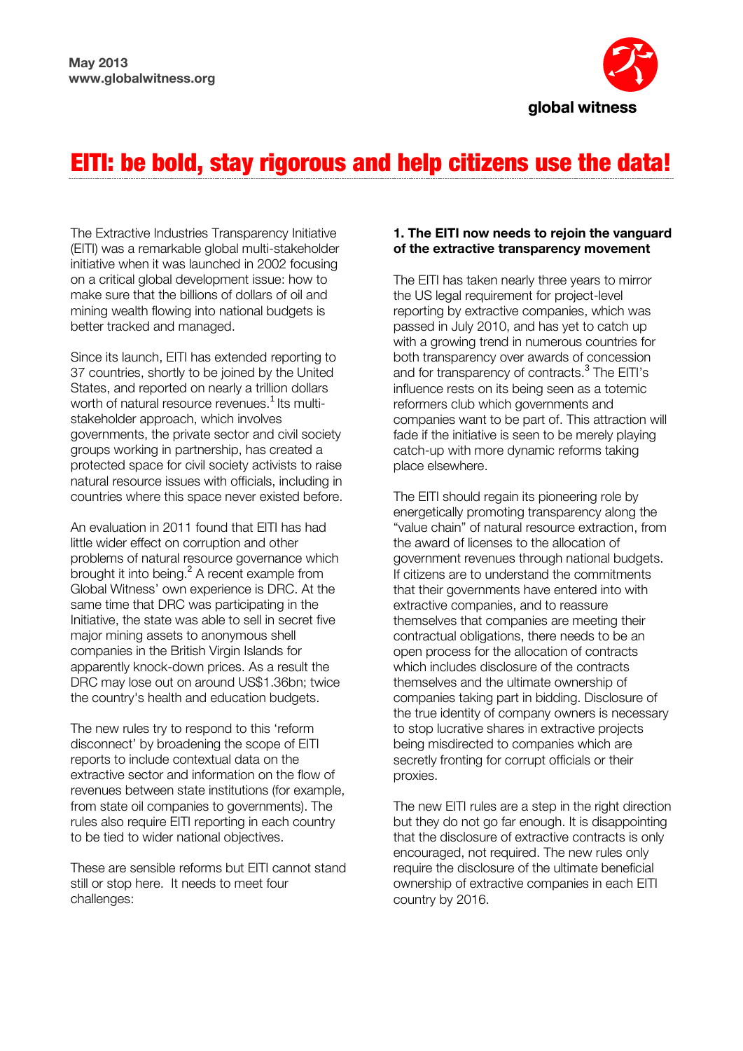

# EITI: be bold, stay rigorous and help citizens use the data!

The Extractive Industries Transparency Initiative (EITI) was a remarkable global multi-stakeholder initiative when it was launched in 2002 focusing on a critical global development issue: how to make sure that the billions of dollars of oil and mining wealth flowing into national budgets is better tracked and managed.

Since its launch, EITI has extended reporting to 37 countries, shortly to be joined by the United States, and reported on nearly a trillion dollars worth of natural resource revenues.<sup>1</sup> Its multistakeholder approach, which involves governments, the private sector and civil society groups working in partnership, has created a protected space for civil society activists to raise natural resource issues with officials, including in countries where this space never existed before.

An evaluation in 2011 found that EITI has had little wider effect on corruption and other problems of natural resource governance which brought it into being.<sup>2</sup> A recent example from Global Witness' own experience is DRC. At the same time that DRC was participating in the Initiative, the state was able to sell in secret five major mining assets to anonymous shell companies in the British Virgin Islands for apparently knock-down prices. As a result the DRC may lose out on around US\$1.36bn; twice the country's health and education budgets.

The new rules try to respond to this 'reform disconnect' by broadening the scope of EITI reports to include contextual data on the extractive sector and information on the flow of revenues between state institutions (for example, from state oil companies to governments). The rules also require EITI reporting in each country to be tied to wider national objectives.

These are sensible reforms but EITI cannot stand still or stop here. It needs to meet four challenges:

#### **1. The EITI now needs to rejoin the vanguard of the extractive transparency movement**

The EITI has taken nearly three years to mirror the US legal requirement for project-level reporting by extractive companies, which was passed in July 2010, and has yet to catch up with a growing trend in numerous countries for both transparency over awards of concession and for transparency of contracts.<sup>3</sup> The EITI's influence rests on its being seen as a totemic reformers club which governments and companies want to be part of. This attraction will fade if the initiative is seen to be merely playing catch-up with more dynamic reforms taking place elsewhere.

The EITI should regain its pioneering role by energetically promoting transparency along the "value chain" of natural resource extraction, from the award of licenses to the allocation of government revenues through national budgets. If citizens are to understand the commitments that their governments have entered into with extractive companies, and to reassure themselves that companies are meeting their contractual obligations, there needs to be an open process for the allocation of contracts which includes disclosure of the contracts themselves and the ultimate ownership of companies taking part in bidding. Disclosure of the true identity of company owners is necessary to stop lucrative shares in extractive projects being misdirected to companies which are secretly fronting for corrupt officials or their proxies.

The new EITI rules are a step in the right direction but they do not go far enough. It is disappointing that the disclosure of extractive contracts is only encouraged, not required. The new rules only require the disclosure of the ultimate beneficial ownership of extractive companies in each EITI country by 2016.